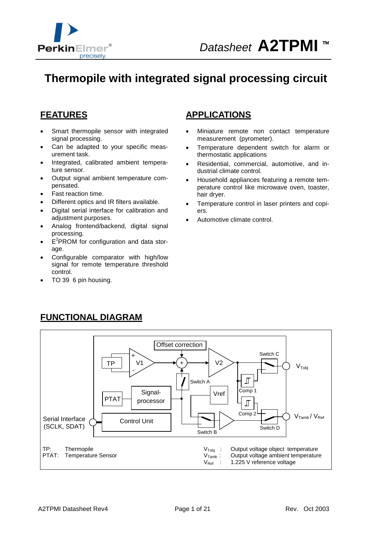

# **Thermopile with integrated signal processing circuit**

### **FEATURES**

- Smart thermopile sensor with integrated signal processing.
- Can be adapted to your specific measurement task.
- Integrated, calibrated ambient temperature sensor.
- · Output signal ambient temperature compensated.
- Fast reaction time.
- · Different optics and IR filters available.
- · Digital serial interface for calibration and adjustment purposes.
- · Analog frontend/backend, digital signal processing.
- $\cdot$   $E^2$ PROM for configuration and data storage.
- Configurable comparator with high/low signal for remote temperature threshold control.
- TO 39 6 pin housing.

#### **APPLICATIONS**

- Miniature remote non contact temperature measurement (pyrometer).
- Temperature dependent switch for alarm or thermostatic applications
- Residential, commercial, automotive, and industrial climate control.
- · Household appliances featuring a remote temperature control like microwave oven, toaster, hair dryer.
- Temperature control in laser printers and copiers.
- Automotive climate control.



# **FUNCTIONAL DIAGRAM**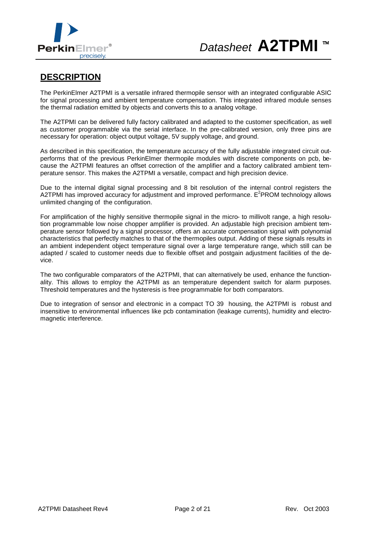

### **DESCRIPTION**

The PerkinElmer A2TPMI is a versatile infrared thermopile sensor with an integrated configurable ASIC for signal processing and ambient temperature compensation. This integrated infrared module senses the thermal radiation emitted by objects and converts this to a analog voltage.

The A2TPMI can be delivered fully factory calibrated and adapted to the customer specification, as well as customer programmable via the serial interface. In the pre-calibrated version, only three pins are necessary for operation: object output voltage, 5V supply voltage, and ground.

As described in this specification, the temperature accuracy of the fully adjustable integrated circuit outperforms that of the previous PerkinElmer thermopile modules with discrete components on pcb, because the A2TPMI features an offset correction of the amplifier and a factory calibrated ambient temperature sensor. This makes the A2TPMI a versatile, compact and high precision device.

Due to the internal digital signal processing and 8 bit resolution of the internal control registers the A2TPMI has improved accuracy for adjustment and improved performance.  $E^2$ PROM technology allows unlimited changing of the configuration.

For amplification of the highly sensitive thermopile signal in the micro- to millivolt range, a high resolution programmable low noise chopper amplifier is provided. An adjustable high precision ambient temperature sensor followed by a signal processor, offers an accurate compensation signal with polynomial characteristics that perfectly matches to that of the thermopiles output. Adding of these signals results in an ambient independent object temperature signal over a large temperature range, which still can be adapted / scaled to customer needs due to flexible offset and postgain adjustment facilities of the device.

The two configurable comparators of the A2TPMI, that can alternatively be used, enhance the functionality. This allows to employ the A2TPMI as an temperature dependent switch for alarm purposes. Threshold temperatures and the hysteresis is free programmable for both comparators.

Due to integration of sensor and electronic in a compact TO 39 housing, the A2TPMI is robust and insensitive to environmental influences like pcb contamination (leakage currents), humidity and electromagnetic interference.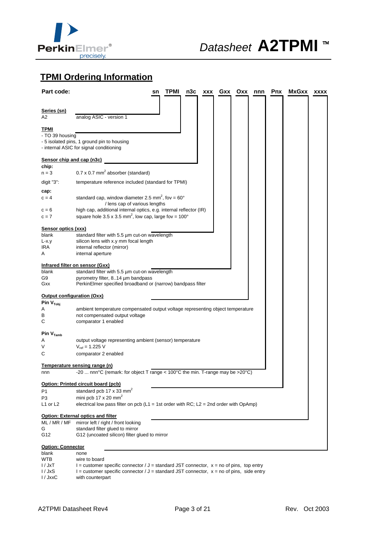

# **TPMI Ordering Information**

| Part code:                        |                                                                                                     | sn | <b>TPMI</b> | n3c | XXX | Gxx | Oxx | nnn | Pnx | <b>MxGxx</b> | <b>XXXX</b> |
|-----------------------------------|-----------------------------------------------------------------------------------------------------|----|-------------|-----|-----|-----|-----|-----|-----|--------------|-------------|
|                                   |                                                                                                     |    |             |     |     |     |     |     |     |              |             |
| <u>Series (sn)</u>                |                                                                                                     |    |             |     |     |     |     |     |     |              |             |
| A2                                | analog ASIC - version 1                                                                             |    |             |     |     |     |     |     |     |              |             |
| <u>TPMI</u>                       |                                                                                                     |    |             |     |     |     |     |     |     |              |             |
| - TO 39 housing                   |                                                                                                     |    |             |     |     |     |     |     |     |              |             |
|                                   | - 5 isolated pins, 1 ground pin to housing                                                          |    |             |     |     |     |     |     |     |              |             |
|                                   | - internal ASIC for signal conditioning                                                             |    |             |     |     |     |     |     |     |              |             |
| Sensor chip and cap (n3c)         |                                                                                                     |    |             |     |     |     |     |     |     |              |             |
| chip:                             |                                                                                                     |    |             |     |     |     |     |     |     |              |             |
| $n = 3$                           | $0.7 \times 0.7$ mm <sup>2</sup> absorber (standard)                                                |    |             |     |     |     |     |     |     |              |             |
| digit "3":                        | temperature reference included (standard for TPMI)                                                  |    |             |     |     |     |     |     |     |              |             |
| cap:                              |                                                                                                     |    |             |     |     |     |     |     |     |              |             |
| $c = 4$                           | standard cap, window diameter 2.5 mm <sup>2</sup> , fov = $60^{\circ}$                              |    |             |     |     |     |     |     |     |              |             |
| c = 6                             | / lens cap of various lengths<br>high cap, additional internal optics, e.g. internal reflector (IR) |    |             |     |     |     |     |     |     |              |             |
| $c = 7$                           | square hole 3.5 x 3.5 mm <sup>2</sup> , low cap, large fov = $100^{\circ}$                          |    |             |     |     |     |     |     |     |              |             |
|                                   |                                                                                                     |    |             |     |     |     |     |     |     |              |             |
| <b>Sensor optics (xxx)</b>        |                                                                                                     |    |             |     |     |     |     |     |     |              |             |
| blank<br>L-x.y                    | standard filter with 5.5 um cut-on wavelength<br>silicon lens with x.y mm focal length              |    |             |     |     |     |     |     |     |              |             |
| IRA                               | internal reflector (mirror)                                                                         |    |             |     |     |     |     |     |     |              |             |
| A                                 | internal aperture                                                                                   |    |             |     |     |     |     |     |     |              |             |
|                                   | Infrared filter on sensor (Gxx)                                                                     |    |             |     |     |     |     |     |     |              |             |
| blank                             | standard filter with 5.5 um cut-on wavelength                                                       |    |             |     |     |     |     |     |     |              |             |
| G9                                | pyrometry filter, 814 um bandpass                                                                   |    |             |     |     |     |     |     |     |              |             |
| Gxx                               | PerkinElmer specified broadband or (narrow) bandpass filter                                         |    |             |     |     |     |     |     |     |              |             |
| <b>Output configuration (Oxx)</b> |                                                                                                     |    |             |     |     |     |     |     |     |              |             |
| Pin $V_{\text{Tobj}}$             |                                                                                                     |    |             |     |     |     |     |     |     |              |             |
| Α                                 | ambient temperature compensated output voltage representing object temperature                      |    |             |     |     |     |     |     |     |              |             |
| В<br>С                            | not compensated output voltage<br>comparator 1 enabled                                              |    |             |     |     |     |     |     |     |              |             |
|                                   |                                                                                                     |    |             |     |     |     |     |     |     |              |             |
| Pin $V_{Tamb}$                    |                                                                                                     |    |             |     |     |     |     |     |     |              |             |
| A                                 | output voltage representing ambient (sensor) temperature                                            |    |             |     |     |     |     |     |     |              |             |
| ٧<br>С                            | $V_{ref} = 1.225 V$<br>comparator 2 enabled                                                         |    |             |     |     |     |     |     |     |              |             |
|                                   |                                                                                                     |    |             |     |     |     |     |     |     |              |             |
|                                   | Temperature sensing range (n)                                                                       |    |             |     |     |     |     |     |     |              |             |
| nnn                               | -20  nnn°C (remark: for object T range < 100°C the min. T-range may be >20°C)                       |    |             |     |     |     |     |     |     |              |             |
|                                   | Option: Printed circuit board (pcb)                                                                 |    |             |     |     |     |     |     |     |              |             |
| P1                                | standard pcb 17 x 33 mm <sup>2</sup>                                                                |    |             |     |     |     |     |     |     |              |             |
| P3                                | mini pcb 17 x 20 mm <sup>2</sup>                                                                    |    |             |     |     |     |     |     |     |              |             |
| L1 or L2                          | electrical low pass filter on pcb ( $L1 = 1$ st order with RC; $L2 = 2$ nd order with OpAmp)        |    |             |     |     |     |     |     |     |              |             |
|                                   | Option: External optics and filter                                                                  |    |             |     |     |     |     |     |     |              |             |
| ML / MR / MF                      | mirror left / right / front looking                                                                 |    |             |     |     |     |     |     |     |              |             |
| G                                 | standard filter glued to mirror                                                                     |    |             |     |     |     |     |     |     |              |             |
| G12                               | G12 (uncoated silicon) filter glued to mirror                                                       |    |             |     |     |     |     |     |     |              |             |
| <b>Option: Connector</b>          |                                                                                                     |    |             |     |     |     |     |     |     |              |             |
| blank                             | none                                                                                                |    |             |     |     |     |     |     |     |              |             |
| <b>WTB</b>                        | wire to board                                                                                       |    |             |     |     |     |     |     |     |              |             |

with counterpart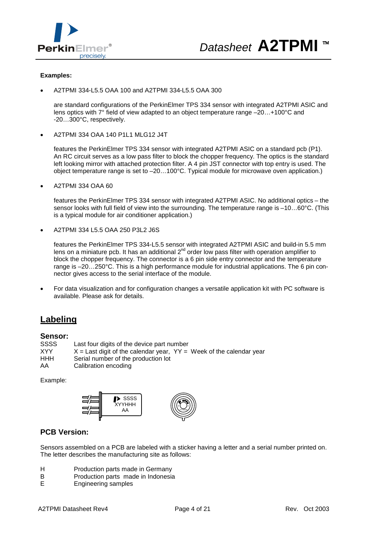

#### **Examples:**

· A2TPMI 334-L5.5 OAA 100 and A2TPMI 334-L5.5 OAA 300

are standard configurations of the PerkinElmer TPS 334 sensor with integrated A2TPMI ASIC and lens optics with 7° field of view adapted to an object temperature range –20…+100°C and -20…300°C, respectively.

· A2TPMI 334 OAA 140 P1L1 MLG12 J4T

features the PerkinElmer TPS 334 sensor with integrated A2TPMI ASIC on a standard pcb (P1). An RC circuit serves as a low pass filter to block the chopper frequency. The optics is the standard left looking mirror with attached protection filter. A 4 pin JST connector with top entry is used. The object temperature range is set to –20…100°C. Typical module for microwave oven application.)

· A2TPMI 334 OAA 60

features the PerkinElmer TPS 334 sensor with integrated A2TPMI ASIC. No additional optics – the sensor looks with full field of view into the surrounding. The temperature range is –10…60°C. (This is a typical module for air conditioner application.)

· A2TPMI 334 L5.5 OAA 250 P3L2 J6S

features the PerkinElmer TPS 334-L5.5 sensor with integrated A2TPMI ASIC and build-in 5.5 mm lens on a miniature pcb. It has an additional  $2^{nd}$  order low pass filter with operation amplifier to block the chopper frequency. The connector is a 6 pin side entry connector and the temperature range is –20…250°C. This is a high performance module for industrial applications. The 6 pin connector gives access to the serial interface of the module.

· For data visualization and for configuration changes a versatile application kit with PC software is available. Please ask for details.

### **Labeling**

#### **Sensor:**

SSSS Last four digits of the device part number<br> $XYY = \lambda = 1$  ast digit of the calendar year  $YY =$  $XYY$   $X =$  Last digit of the calendar year,  $YY =$  Week of the calendar year<br>HHH Serial number of the production lot Serial number of the production lot AA Calibration encoding

Example:



#### **PCB Version:**

Sensors assembled on a PCB are labeled with a sticker having a letter and a serial number printed on. The letter describes the manufacturing site as follows:

- H Production parts made in Germany
- B Production parts made in Indonesia
- E Engineering samples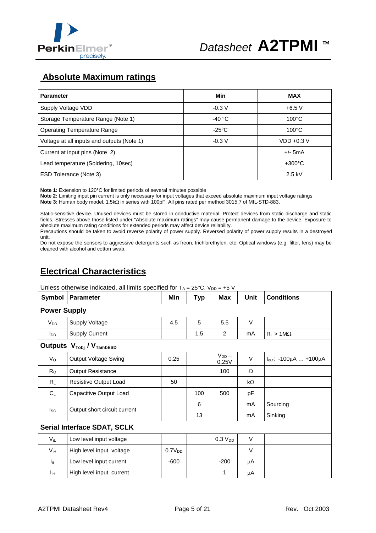

## **Absolute Maximum ratings**

| <b>Parameter</b>                           | Min             | <b>MAX</b>       |
|--------------------------------------------|-----------------|------------------|
| Supply Voltage VDD                         | $-0.3V$         | $+6.5$ V         |
| Storage Temperature Range (Note 1)         | $-40 °C$        | $100^{\circ}$ C  |
| <b>Operating Temperature Range</b>         | $-25^{\circ}$ C | $100^{\circ}$ C  |
| Voltage at all inputs and outputs (Note 1) | $-0.3 V$        | $VDD +0.3 V$     |
| Current at input pins (Note 2)             |                 | $+/-$ 5mA        |
| Lead temperature (Soldering, 10sec)        |                 | $+300^{\circ}$ C |
| ESD Tolerance (Note 3)                     |                 | $2.5$ kV         |

**Note 1:** Extension to 120°C for limited periods of several minutes possible

**Note 2:** Limiting input pin current is only necessary for input voltages that exceed absolute maximum input voltage ratings Note 3: Human body model, 1.5k $\Omega$  in series with 100pF. All pins rated per method 3015.7 of MIL-STD-883.

Static-sensitive device. Unused devices must be stored in conductive material. Protect devices from static discharge and static fields. Stresses above those listed under "Absolute maximum ratings" may cause permanent damage to the device. Exposure to absolute maximum rating conditions for extended periods may affect device reliability.

Precautions should be taken to avoid reverse polarity of power supply. Reversed polarity of power supply results in a destroyed unit.

Do not expose the sensors to aggressive detergents such as freon, trichlorethylen, etc. Optical windows (e.g. filter, lens) may be cleaned with alcohol and cotton swab.

# **Electrical Characteristics**

| Unless otherwise indicated, all limits specified for $T_A = 25^{\circ}C$ , $V_{DD} = +5$ V |  |
|--------------------------------------------------------------------------------------------|--|
|                                                                                            |  |

| Symbol                 | <b>Parameter</b>                             | Min                | <b>Typ</b> | <b>Max</b>          | Unit      | <b>Conditions</b>                      |  |  |  |
|------------------------|----------------------------------------------|--------------------|------------|---------------------|-----------|----------------------------------------|--|--|--|
| <b>Power Supply</b>    |                                              |                    |            |                     |           |                                        |  |  |  |
| $V_{DD}$               | <b>Supply Voltage</b>                        | 4.5                | 5          | 5.5                 | V         |                                        |  |  |  |
| <b>I</b> <sub>DD</sub> | <b>Supply Current</b>                        |                    | 1.5        | $\overline{2}$      | mA        | $R_L > 1 M\Omega$                      |  |  |  |
|                        | Outputs $V_{\text{Tobj}}/V_{\text{TambESD}}$ |                    |            |                     |           |                                        |  |  |  |
| $V_{\rm O}$            | <b>Output Voltage Swing</b>                  | 0.25               |            | $V_{DD}$ –<br>0.25V | V         | $I_{out}$ : -100 $\mu$ A  +100 $\mu$ A |  |  |  |
| $R_{\rm O}$            | <b>Output Resistance</b>                     |                    |            | 100                 | Ω         |                                        |  |  |  |
| RL                     | Resistive Output Load                        | 50                 |            |                     | $k\Omega$ |                                        |  |  |  |
| $C_L$                  | Capacitive Output Load                       |                    | 100        | 500                 | рF        |                                        |  |  |  |
|                        |                                              |                    | 6          |                     | mA        | Sourcing                               |  |  |  |
| $I_{SC}$               | Output short circuit current                 |                    | 13         |                     | mA        | Sinking                                |  |  |  |
|                        | <b>Serial Interface SDAT, SCLK</b>           |                    |            |                     |           |                                        |  |  |  |
| $V_{iL}$               | Low level input voltage                      |                    |            | 0.3 V <sub>DD</sub> | V         |                                        |  |  |  |
| $V_{iH}$               | High level input voltage                     | 0.7V <sub>DD</sub> |            |                     | $\vee$    |                                        |  |  |  |
| l <sub>iL</sub>        | Low level input current                      | $-600$             |            | $-200$              | μA        |                                        |  |  |  |
| Īін                    | High level input current                     |                    |            | 1                   | μA        |                                        |  |  |  |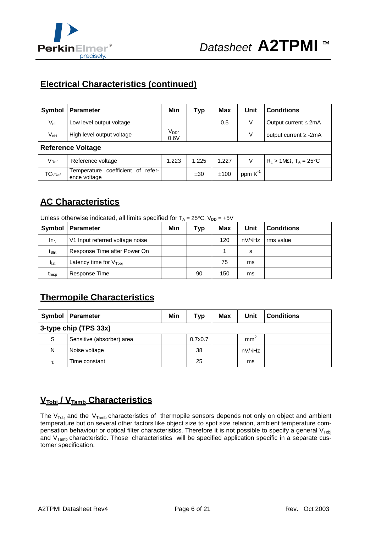

# **Electrical Characteristics (continued)**

| Symbol                   | <b>Parameter</b>                                  | Min                | Typ   | <b>Max</b> | Unit      | <b>Conditions</b>                       |  |
|--------------------------|---------------------------------------------------|--------------------|-------|------------|-----------|-----------------------------------------|--|
| $V_{oL}$                 | Low level output voltage                          |                    |       | 0.5        | V         | Output current $\leq 2mA$               |  |
| $V_{\text{oH}}$          | High level output voltage                         | $V_{DD}$ -<br>0.6V |       |            | V         | output current $\ge$ -2mA               |  |
| <b>Reference Voltage</b> |                                                   |                    |       |            |           |                                         |  |
| $V_{\mathsf{Ref}}$       | Reference voltage                                 | 1.223              | 1.225 | 1.227      | V         | $R_L > 1 M\Omega$ , $T_A = 25^{\circ}C$ |  |
| $TC_{VRef}$              | Temperature coefficient of refer-<br>ence voltage |                    | ±30   | ±100       | ppm $K^1$ |                                         |  |

# **AC Characteristics**

Unless otherwise indicated, all limits specified for  $T_A = 25^{\circ}C$ ,  $V_{DD} = +5V$ 

| Symbol              | Parameter                          | Min | Typ | Max | Unit           | <b>Conditions</b> |
|---------------------|------------------------------------|-----|-----|-----|----------------|-------------------|
| $In_{N}$            | V1 Input referred voltage noise    |     |     | 120 | $nV/\sqrt{Hz}$ | rms value         |
| $t_{\mathsf{Strt}}$ | Response Time after Power On       |     |     |     | s              |                   |
| t <sub>lat</sub>    | Latency time for $V_{\text{Tobl}}$ |     |     | 75  | ms             |                   |
| $t_{resp}$          | Response Time                      |     | 90  | 150 | ms             |                   |

# **Thermopile Characteristics**

|                       | Symbol   Parameter        | Min | Typ     | <b>Max</b> | Unit            | <b>Conditions</b> |  |  |
|-----------------------|---------------------------|-----|---------|------------|-----------------|-------------------|--|--|
| 3-type chip (TPS 33x) |                           |     |         |            |                 |                   |  |  |
| S.                    | Sensitive (absorber) area |     | 0.7x0.7 |            | mm <sup>-</sup> |                   |  |  |
| N                     | Noise voltage             |     | 38      |            | nV/√Hz          |                   |  |  |
|                       | Time constant             |     | 25      |            | ms              |                   |  |  |

# **VTobj / VTamb Characteristics**

The  $V_{\text{Tobj}}$  and the  $V_{\text{Tamb}}$  characteristics of thermopile sensors depends not only on object and ambient temperature but on several other factors like object size to spot size relation, ambient temperature compensation behaviour or optical filter characteristics. Therefore it is not possible to specify a general  $V_{\text{Tobj}}$ and  $V<sub>Tamb</sub>$  characteristic. Those characteristics will be specified application specific in a separate customer specification.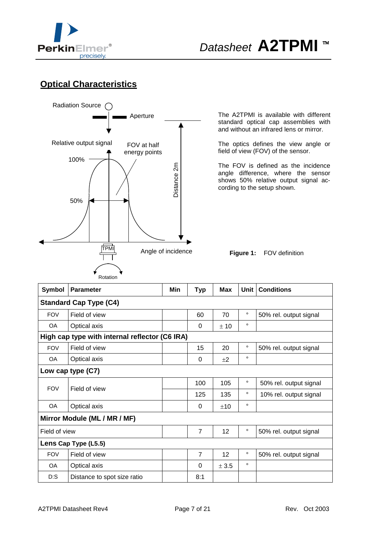

# *Datasheet* **A2TPMI** <sup>™</sup>

# **Optical Characteristics**



The A2TPMI is available with different standard optical cap assemblies with and without an infrared lens or mirror.

The optics defines the view angle or field of view (FOV) of the sensor.

The FOV is defined as the incidence angle difference, where the sensor shows 50% relative output signal according to the setup shown.

**Figure 1:** FOV definition

| Symbol        | <b>Parameter</b>                               | Min | Typ            | Max   | Unit    | <b>Conditions</b>      |  |  |  |
|---------------|------------------------------------------------|-----|----------------|-------|---------|------------------------|--|--|--|
|               | <b>Standard Cap Type (C4)</b>                  |     |                |       |         |                        |  |  |  |
| <b>FOV</b>    | Field of view                                  |     | 60             | 70    | $\circ$ | 50% rel. output signal |  |  |  |
| OA            | Optical axis                                   |     | 0              | ± 10  | $\circ$ |                        |  |  |  |
|               | High cap type with internal reflector (C6 IRA) |     |                |       |         |                        |  |  |  |
| <b>FOV</b>    | Field of view                                  |     | 15             | 20    | $\circ$ | 50% rel. output signal |  |  |  |
| <b>OA</b>     | Optical axis                                   |     | 0              | $+2$  | $\circ$ |                        |  |  |  |
|               | Low cap type (C7)                              |     |                |       |         |                        |  |  |  |
| <b>FOV</b>    | Field of view                                  |     | 100            | 105   | $\circ$ | 50% rel. output signal |  |  |  |
|               |                                                |     | 125            | 135   | $\circ$ | 10% rel. output signal |  |  |  |
| OA            | Optical axis                                   |     | $\Omega$       | ±10   | $\circ$ |                        |  |  |  |
|               | Mirror Module (ML / MR / MF)                   |     |                |       |         |                        |  |  |  |
| Field of view |                                                |     | $\overline{7}$ | 12    | $\circ$ | 50% rel. output signal |  |  |  |
|               | Lens Cap Type (L5.5)                           |     |                |       |         |                        |  |  |  |
| <b>FOV</b>    | Field of view                                  |     | $\overline{7}$ | 12    | $\circ$ | 50% rel. output signal |  |  |  |
| <b>OA</b>     | Optical axis                                   |     | $\Omega$       | ± 3.5 | $\circ$ |                        |  |  |  |
| $D:$ S        | Distance to spot size ratio                    |     | 8:1            |       |         |                        |  |  |  |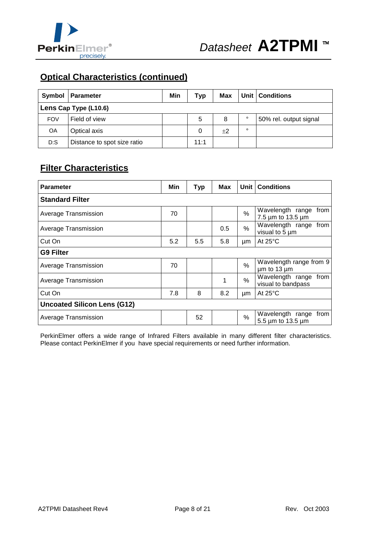

# **Optical Characteristics (continued)**

| <b>Symbol</b>         | <b>Parameter</b>            | Min | Typ  | Max  |         | Unit   Conditions      |  |
|-----------------------|-----------------------------|-----|------|------|---------|------------------------|--|
| Lens Cap Type (L10.6) |                             |     |      |      |         |                        |  |
| <b>FOV</b>            | Field of view               |     | 5    | 8    | $\circ$ | 50% rel. output signal |  |
| <b>OA</b>             | Optical axis                |     | 0    | $+2$ | $\circ$ |                        |  |
| D:S                   | Distance to spot size ratio |     | 11:1 |      |         |                        |  |

# **Filter Characteristics**

| <b>Parameter</b>                   | Min | <b>Typ</b> | Max |      | Unit   Conditions                              |
|------------------------------------|-----|------------|-----|------|------------------------------------------------|
| <b>Standard Filter</b>             |     |            |     |      |                                                |
| Average Transmission               | 70  |            |     | %    | Wavelength range<br>from<br>7.5 µm to 13.5 µm  |
| Average Transmission               |     |            | 0.5 | %    | Wavelength range from<br>visual to 5 µm        |
| Cut On                             | 5.2 | 5.5        | 5.8 | μm   | At $25^{\circ}$ C                              |
| <b>G9 Filter</b>                   |     |            |     |      |                                                |
| Average Transmission               | 70  |            |     | $\%$ | Wavelength range from 9<br>$µm$ to 13 $µm$     |
| Average Transmission               |     |            | 1   | $\%$ | Wavelength range<br>from<br>visual to bandpass |
| Cut On                             | 7.8 | 8          | 8.2 | μm   | At $25^{\circ}$ C                              |
| <b>Uncoated Silicon Lens (G12)</b> |     |            |     |      |                                                |
| Average Transmission               |     | 52         |     | %    | Wavelength range<br>from<br>5.5 µm to 13.5 µm  |

PerkinElmer offers a wide range of Infrared Filters available in many different filter characteristics. Please contact PerkinElmer if you have special requirements or need further information.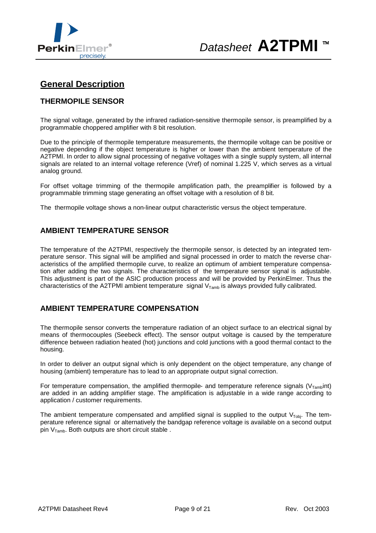



### **General Description**

#### **THERMOPILE SENSOR**

The signal voltage, generated by the infrared radiation-sensitive thermopile sensor, is preamplified by a programmable choppered amplifier with 8 bit resolution.

Due to the principle of thermopile temperature measurements, the thermopile voltage can be positive or negative depending if the object temperature is higher or lower than the ambient temperature of the A2TPMI. In order to allow signal processing of negative voltages with a single supply system, all internal signals are related to an internal voltage reference (Vref) of nominal 1.225 V, which serves as a virtual analog ground.

For offset voltage trimming of the thermopile amplification path, the preamplifier is followed by a programmable trimming stage generating an offset voltage with a resolution of 8 bit.

The thermopile voltage shows a non-linear output characteristic versus the object temperature.

#### **AMBIENT TEMPERATURE SENSOR**

The temperature of the A2TPMI, respectively the thermopile sensor, is detected by an integrated temperature sensor. This signal will be amplified and signal processed in order to match the reverse characteristics of the amplified thermopile curve, to realize an optimum of ambient temperature compensation after adding the two signals. The characteristics of the temperature sensor signal is adjustable. This adjustment is part of the ASIC production process and will be provided by PerkinElmer. Thus the characteristics of the A2TPMI ambient temperature signal  $V_{Tamb}$  is always provided fully calibrated.

#### **AMBIENT TEMPERATURE COMPENSATION**

The thermopile sensor converts the temperature radiation of an object surface to an electrical signal by means of thermocouples (Seebeck effect). The sensor output voltage is caused by the temperature difference between radiation heated (hot) junctions and cold junctions with a good thermal contact to the housing.

In order to deliver an output signal which is only dependent on the object temperature, any change of housing (ambient) temperature has to lead to an appropriate output signal correction.

For temperature compensation, the amplified thermopile- and temperature reference signals ( $V_{Tamb}$ int) are added in an adding amplifier stage. The amplification is adjustable in a wide range according to application / customer requirements.

The ambient temperature compensated and amplified signal is supplied to the output  $V_{\text{Tobi}}$ . The temperature reference signal or alternatively the bandgap reference voltage is available on a second output pin  $V_{Tamb}$ . Both outputs are short circuit stable.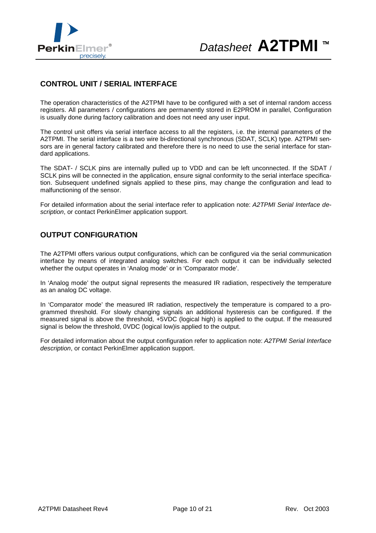

#### **CONTROL UNIT / SERIAL INTERFACE**

The operation characteristics of the A2TPMI have to be configured with a set of internal random access registers. All parameters / configurations are permanently stored in E2PROM in parallel, Configuration is usually done during factory calibration and does not need any user input.

The control unit offers via serial interface access to all the registers, i.e. the internal parameters of the A2TPMI. The serial interface is a two wire bi-directional synchronous (SDAT, SCLK) type. A2TPMI sensors are in general factory calibrated and therefore there is no need to use the serial interface for standard applications.

The SDAT- / SCLK pins are internally pulled up to VDD and can be left unconnected. If the SDAT / SCLK pins will be connected in the application, ensure signal conformity to the serial interface specification. Subsequent undefined signals applied to these pins, may change the configuration and lead to malfunctioning of the sensor.

For detailed information about the serial interface refer to application note: *A2TPMI Serial Interface description*, or contact PerkinElmer application support.

#### **OUTPUT CONFIGURATION**

The A2TPMI offers various output configurations, which can be configured via the serial communication interface by means of integrated analog switches. For each output it can be individually selected whether the output operates in 'Analog mode' or in 'Comparator mode'.

In 'Analog mode' the output signal represents the measured IR radiation, respectively the temperature as an analog DC voltage.

In 'Comparator mode' the measured IR radiation, respectively the temperature is compared to a programmed threshold. For slowly changing signals an additional hysteresis can be configured. If the measured signal is above the threshold, +5VDC (logical high) is applied to the output. If the measured signal is below the threshold, 0VDC (logical low)is applied to the output.

For detailed information about the output configuration refer to application note: *A2TPMI Serial Interface description*, or contact PerkinElmer application support.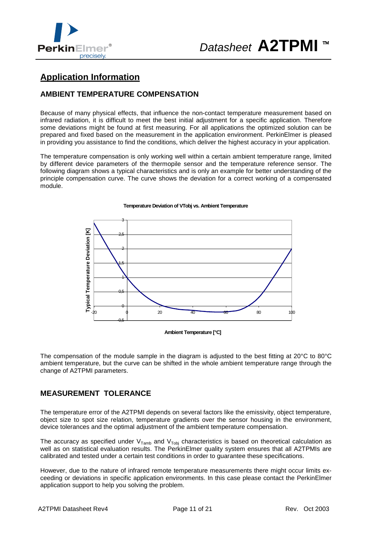

## **Application Information**

#### **AMBIENT TEMPERATURE COMPENSATION**

Because of many physical effects, that influence the non-contact temperature measurement based on infrared radiation, it is difficult to meet the best initial adjustment for a specific application. Therefore some deviations might be found at first measuring. For all applications the optimized solution can be prepared and fixed based on the measurement in the application environment. PerkinElmer is pleased in providing you assistance to find the conditions, which deliver the highest accuracy in your application.

The temperature compensation is only working well within a certain ambient temperature range, limited by different device parameters of the thermopile sensor and the temperature reference sensor. The following diagram shows a typical characteristics and is only an example for better understanding of the principle compensation curve. The curve shows the deviation for a correct working of a compensated module.



#### **Temperature Deviation of VTobj vs. Ambient Temperature**

**Ambient Temperature [°C]**

The compensation of the module sample in the diagram is adjusted to the best fitting at 20°C to 80°C ambient temperature, but the curve can be shifted in the whole ambient temperature range through the change of A2TPMI parameters.

#### **MEASUREMENT TOLERANCE**

The temperature error of the A2TPMI depends on several factors like the emissivity, object temperature, object size to spot size relation, temperature gradients over the sensor housing in the environment, device tolerances and the optimal adjustment of the ambient temperature compensation.

The accuracy as specified under  $V_{Tamb}$  and  $V_{Tobi}$  characteristics is based on theoretical calculation as well as on statistical evaluation results. The PerkinElmer quality system ensures that all A2TPMIs are calibrated and tested under a certain test conditions in order to guarantee these specifications.

However, due to the nature of infrared remote temperature measurements there might occur limits exceeding or deviations in specific application environments. In this case please contact the PerkinElmer application support to help you solving the problem.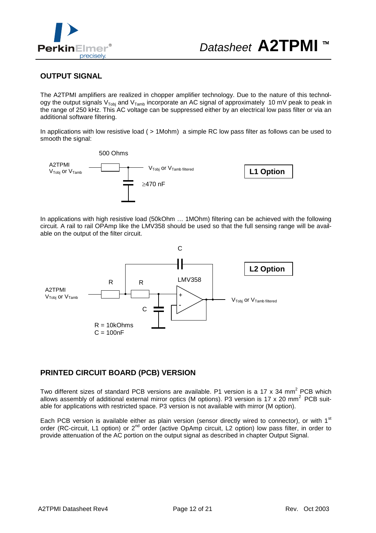

#### **OUTPUT SIGNAL**

The A2TPMI amplifiers are realized in chopper amplifier technology. Due to the nature of this technology the output signals V<sub>Tobj</sub> and V<sub>Tamb</sub> incorporate an AC signal of approximately 10 mV peak to peak in the range of 250 kHz. This AC voltage can be suppressed either by an electrical low pass filter or via an additional software filtering.

In applications with low resistive load ( > 1Mohm) a simple RC low pass filter as follows can be used to smooth the signal:



In applications with high resistive load (50kOhm … 1MOhm) filtering can be achieved with the following circuit. A rail to rail OPAmp like the LMV358 should be used so that the full sensing range will be available on the output of the filter circuit.



#### **PRINTED CIRCUIT BOARD (PCB) VERSION**

Two different sizes of standard PCB versions are available. P1 version is a 17 x 34 mm<sup>2</sup> PCB which allows assembly of additional external mirror optics (M options). P3 version is 17 x 20 mm<sup>2</sup> PCB suitable for applications with restricted space. P3 version is not available with mirror (M option).

Each PCB version is available either as plain version (sensor directly wired to connector), or with 1<sup>st</sup> order (RC-circuit, L1 option) or 2<sup>nd</sup> order (active OpAmp circuit, L2 option) low pass filter, in order to provide attenuation of the AC portion on the output signal as described in chapter Output Signal.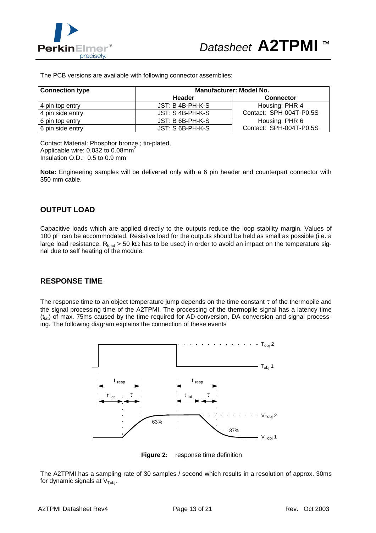

The PCB versions are available with following connector assemblies:

| <b>Connection type</b> | <b>Manufacturer: Model No.</b> |                         |  |  |  |  |  |
|------------------------|--------------------------------|-------------------------|--|--|--|--|--|
|                        | Header                         | <b>Connector</b>        |  |  |  |  |  |
| 4 pin top entry        | $JST: B 4B-PH-K-S$             | Housing: PHR 4          |  |  |  |  |  |
| 4 pin side entry       | $JST: S$ 4B-PH-K-S             | Contact: SPH-004T-P0.5S |  |  |  |  |  |
| 6 pin top entry        | JST: B 6B-PH-K-S               | Housing: PHR 6          |  |  |  |  |  |
| 6 pin side entry       | JST: S 6B-PH-K-S               | Contact: SPH-004T-P0.5S |  |  |  |  |  |

Contact Material: Phosphor bronze ; tin-plated, Applicable wire:  $0.032$  to  $0.08$ mm<sup>2</sup> Insulation O.D.: 0.5 to 0.9 mm

**Note:** Engineering samples will be delivered only with a 6 pin header and counterpart connector with 350 mm cable.

#### **OUTPUT LOAD**

Capacitive loads which are applied directly to the outputs reduce the loop stability margin. Values of 100 pF can be accommodated. Resistive load for the outputs should be held as small as possible (i.e. a large load resistance,  $R_{load} > 50$  k $\Omega$  has to be used) in order to avoid an impact on the temperature signal due to self heating of the module.

#### **RESPONSE TIME**

The response time to an object temperature jump depends on the time constant  $\tau$  of the thermopile and the signal processing time of the A2TPMI. The processing of the thermopile signal has a latency time  $(t<sub>lat</sub>)$  of max. 75ms caused by the time required for AD-conversion, DA conversion and signal processing. The following diagram explains the connection of these events



**Figure 2:** response time definition

The A2TPMI has a sampling rate of 30 samples / second which results in a resolution of approx. 30ms for dynamic signals at  $V<sub>Tobi</sub>$ .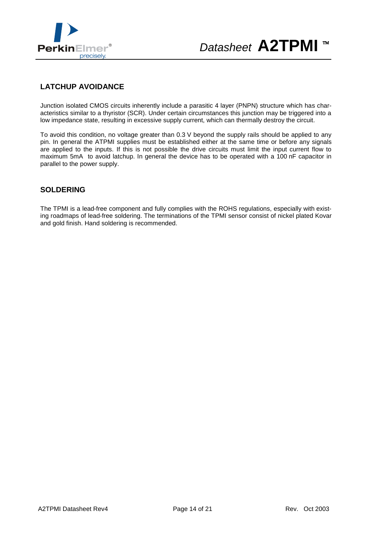

# *Datasheet* **A2TPMI** <sup>™</sup>

#### **LATCHUP AVOIDANCE**

Junction isolated CMOS circuits inherently include a parasitic 4 layer (PNPN) structure which has characteristics similar to a thyristor (SCR). Under certain circumstances this junction may be triggered into a low impedance state, resulting in excessive supply current, which can thermally destroy the circuit.

To avoid this condition, no voltage greater than 0.3 V beyond the supply rails should be applied to any pin. In general the ATPMI supplies must be established either at the same time or before any signals are applied to the inputs. If this is not possible the drive circuits must limit the input current flow to maximum 5mA to avoid latchup. In general the device has to be operated with a 100 nF capacitor in parallel to the power supply.

#### **SOLDERING**

The TPMI is a lead-free component and fully complies with the ROHS regulations, especially with existing roadmaps of lead-free soldering. The terminations of the TPMI sensor consist of nickel plated Kovar and gold finish. Hand soldering is recommended.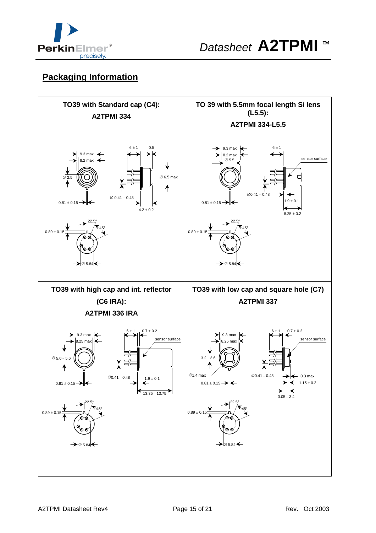

# **Packaging Information**

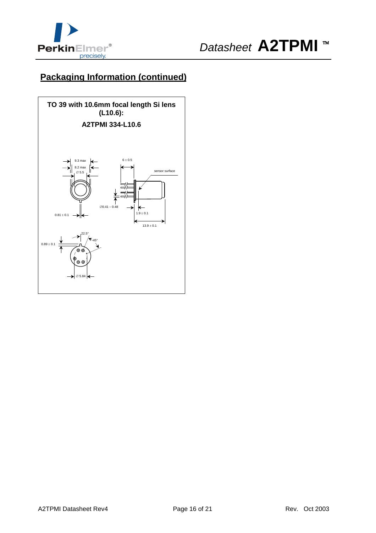

# **Packaging Information (continued)**

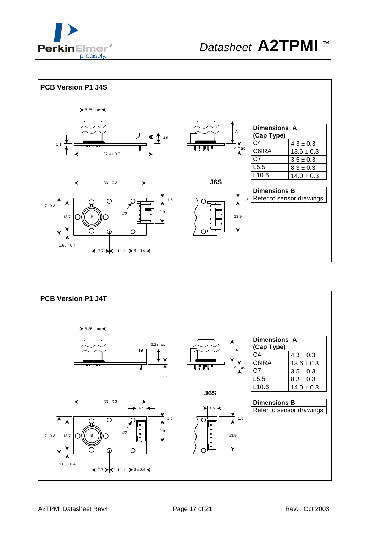



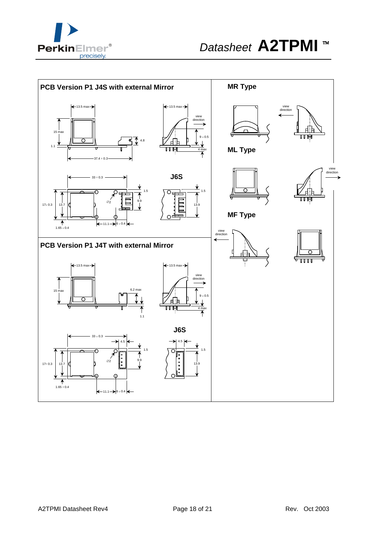

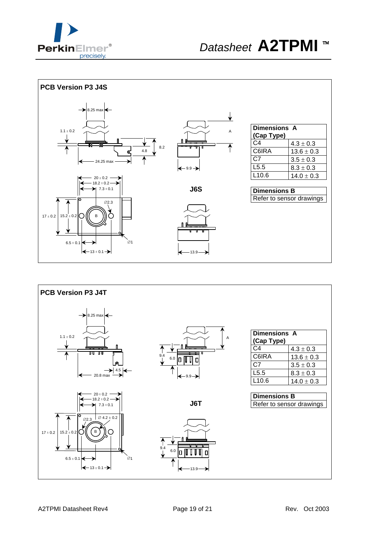



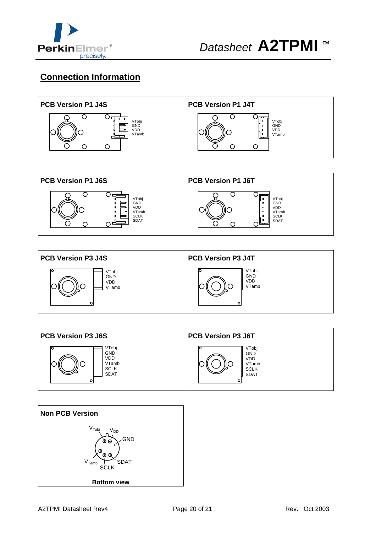

# **Connection Information**